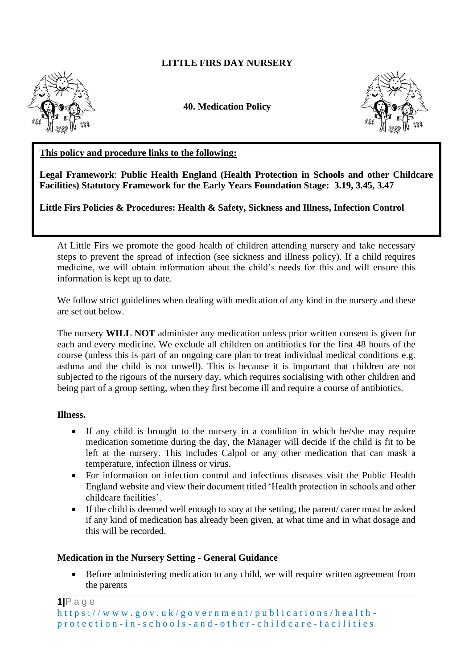## **LITTLE FIRS DAY NURSERY**



**40. Medication Policy**



### **This policy and procedure links to the following:**

**Legal Framework**: **Public Health England (Health Protection in Schools and other Childcare Facilities) Statutory Framework for the Early Years Foundation Stage: 3.19, 3.45, 3.47**

**Little Firs Policies & Procedures: Health & Safety, Sickness and Illness, Infection Control**

At Little Firs we promote the good health of children attending nursery and take necessary steps to prevent the spread of infection (see sickness and illness policy). If a child requires medicine, we will obtain information about the child's needs for this and will ensure this information is kept up to date.

We follow strict guidelines when dealing with medication of any kind in the nursery and these are set out below.

The nursery **WILL NOT** administer any medication unless prior written consent is given for each and every medicine. We exclude all children on antibiotics for the first 48 hours of the course (unless this is part of an ongoing care plan to treat individual medical conditions e.g. asthma and the child is not unwell). This is because it is important that children are not subjected to the rigours of the nursery day, which requires socialising with other children and being part of a group setting, when they first become ill and require a course of antibiotics.

#### **Illness.**

- If any child is brought to the nursery in a condition in which he/she may require medication sometime during the day, the Manager will decide if the child is fit to be left at the nursery. This includes Calpol or any other medication that can mask a temperature, infection illness or virus.
- For information on infection control and infectious diseases visit the Public Health England website and view their document titled 'Health protection in schools and other childcare facilities'.
- If the child is deemed well enough to stay at the setting, the parent/carer must be asked if any kind of medication has already been given, at what time and in what dosage and this will be recorded.

#### **Medication in the Nursery Setting - General Guidance**

• Before administering medication to any child, we will require written agreement from the parents

```
1|P a g e
h t t p s : //www.gov.uk/government/publications/health-
p r o t e c t i o n - i n - s c h o o l s - a n d - o t h e r - c h i l d c a r e - f a c i l i t i e s
```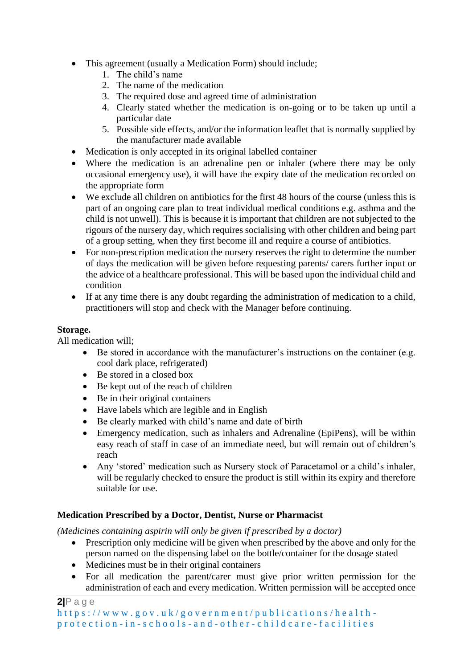- This agreement (usually a Medication Form) should include;
	- 1. The child's name
	- 2. The name of the medication
	- 3. The required dose and agreed time of administration
	- 4. Clearly stated whether the medication is on-going or to be taken up until a particular date
	- 5. Possible side effects, and/or the information leaflet that is normally supplied by the manufacturer made available
- Medication is only accepted in its original labelled container
- Where the medication is an adrenaline pen or inhaler (where there may be only occasional emergency use), it will have the expiry date of the medication recorded on the appropriate form
- We exclude all children on antibiotics for the first 48 hours of the course (unless this is part of an ongoing care plan to treat individual medical conditions e.g. asthma and the child is not unwell). This is because it is important that children are not subjected to the rigours of the nursery day, which requires socialising with other children and being part of a group setting, when they first become ill and require a course of antibiotics.
- For non-prescription medication the nursery reserves the right to determine the number of days the medication will be given before requesting parents/ carers further input or the advice of a healthcare professional. This will be based upon the individual child and condition
- If at any time there is any doubt regarding the administration of medication to a child, practitioners will stop and check with the Manager before continuing.

## **Storage.**

All medication will;

- Be stored in accordance with the manufacturer's instructions on the container (e.g. cool dark place, refrigerated)
- Be stored in a closed box
- Be kept out of the reach of children
- Be in their original containers
- Have labels which are legible and in English
- Be clearly marked with child's name and date of birth
- Emergency medication, such as inhalers and Adrenaline (EpiPens), will be within easy reach of staff in case of an immediate need, but will remain out of children's reach
- Any 'stored' medication such as Nursery stock of Paracetamol or a child's inhaler, will be regularly checked to ensure the product is still within its expiry and therefore suitable for use.

# **Medication Prescribed by a Doctor, Dentist, Nurse or Pharmacist**

*(Medicines containing aspirin will only be given if prescribed by a doctor)*

- Prescription only medicine will be given when prescribed by the above and only for the person named on the dispensing label on the bottle/container for the dosage stated
- Medicines must be in their original containers
- For all medication the parent/carer must give prior written permission for the administration of each and every medication. Written permission will be accepted once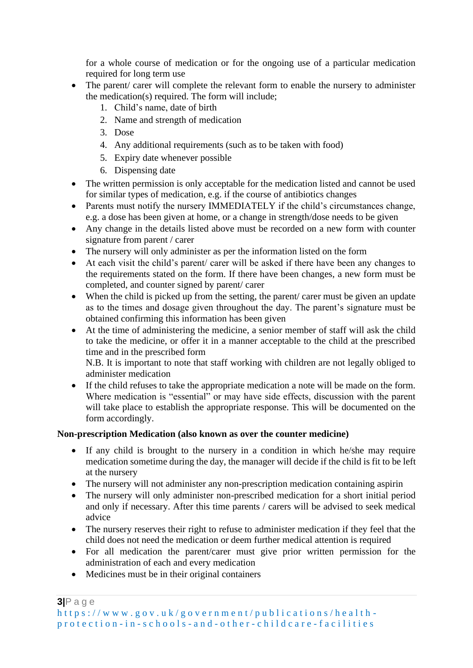for a whole course of medication or for the ongoing use of a particular medication required for long term use

- The parent/ carer will complete the relevant form to enable the nursery to administer the medication(s) required. The form will include;
	- 1. Child's name, date of birth
	- 2. Name and strength of medication
	- 3. Dose
	- 4. Any additional requirements (such as to be taken with food)
	- 5. Expiry date whenever possible
	- 6. Dispensing date
- The written permission is only acceptable for the medication listed and cannot be used for similar types of medication, e.g. if the course of antibiotics changes
- Parents must notify the nursery IMMEDIATELY if the child's circumstances change, e.g. a dose has been given at home, or a change in strength/dose needs to be given
- Any change in the details listed above must be recorded on a new form with counter signature from parent / carer
- The nursery will only administer as per the information listed on the form
- At each visit the child's parent/ carer will be asked if there have been any changes to the requirements stated on the form. If there have been changes, a new form must be completed, and counter signed by parent/ carer
- When the child is picked up from the setting, the parent/carer must be given an update as to the times and dosage given throughout the day. The parent's signature must be obtained confirming this information has been given
- At the time of administering the medicine, a senior member of staff will ask the child to take the medicine, or offer it in a manner acceptable to the child at the prescribed time and in the prescribed form

N.B. It is important to note that staff working with children are not legally obliged to administer medication

• If the child refuses to take the appropriate medication a note will be made on the form. Where medication is "essential" or may have side effects, discussion with the parent will take place to establish the appropriate response. This will be documented on the form accordingly.

# **Non-prescription Medication (also known as over the counter medicine)**

- If any child is brought to the nursery in a condition in which he/she may require medication sometime during the day, the manager will decide if the child is fit to be left at the nursery
- The nursery will not administer any non-prescription medication containing aspirin
- The nursery will only administer non-prescribed medication for a short initial period and only if necessary. After this time parents / carers will be advised to seek medical advice
- The nursery reserves their right to refuse to administer medication if they feel that the child does not need the medication or deem further medical attention is required
- For all medication the parent/carer must give prior written permission for the administration of each and every medication
- Medicines must be in their original containers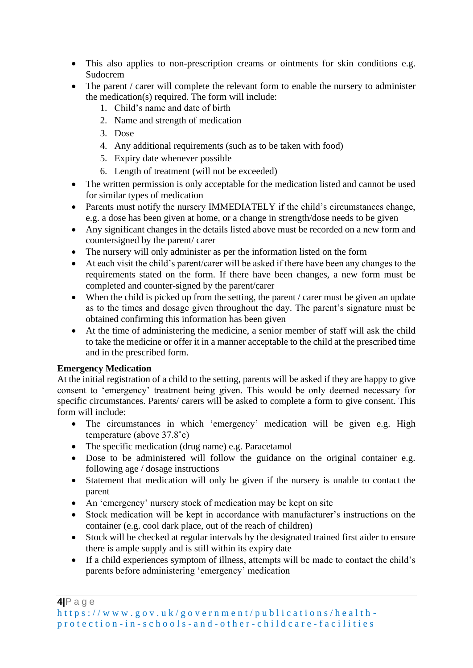- This also applies to non-prescription creams or ointments for skin conditions e.g. Sudocrem
- The parent / carer will complete the relevant form to enable the nursery to administer the medication(s) required. The form will include:
	- 1. Child's name and date of birth
	- 2. Name and strength of medication
	- 3. Dose
	- 4. Any additional requirements (such as to be taken with food)
	- 5. Expiry date whenever possible
	- 6. Length of treatment (will not be exceeded)
- The written permission is only acceptable for the medication listed and cannot be used for similar types of medication
- Parents must notify the nursery IMMEDIATELY if the child's circumstances change, e.g. a dose has been given at home, or a change in strength/dose needs to be given
- Any significant changes in the details listed above must be recorded on a new form and countersigned by the parent/ carer
- The nursery will only administer as per the information listed on the form
- At each visit the child's parent/carer will be asked if there have been any changes to the requirements stated on the form. If there have been changes, a new form must be completed and counter-signed by the parent/carer
- When the child is picked up from the setting, the parent / carer must be given an update as to the times and dosage given throughout the day. The parent's signature must be obtained confirming this information has been given
- At the time of administering the medicine, a senior member of staff will ask the child to take the medicine or offer it in a manner acceptable to the child at the prescribed time and in the prescribed form.

### **Emergency Medication**

At the initial registration of a child to the setting, parents will be asked if they are happy to give consent to 'emergency' treatment being given. This would be only deemed necessary for specific circumstances. Parents/ carers will be asked to complete a form to give consent. This form will include:

- The circumstances in which 'emergency' medication will be given e.g. High temperature (above 37.8˚c)
- The specific medication (drug name) e.g. Paracetamol
- Dose to be administered will follow the guidance on the original container e.g. following age / dosage instructions
- Statement that medication will only be given if the nursery is unable to contact the parent
- An 'emergency' nursery stock of medication may be kept on site
- Stock medication will be kept in accordance with manufacturer's instructions on the container (e.g. cool dark place, out of the reach of children)
- Stock will be checked at regular intervals by the designated trained first aider to ensure there is ample supply and is still within its expiry date
- If a child experiences symptom of illness, attempts will be made to contact the child's parents before administering 'emergency' medication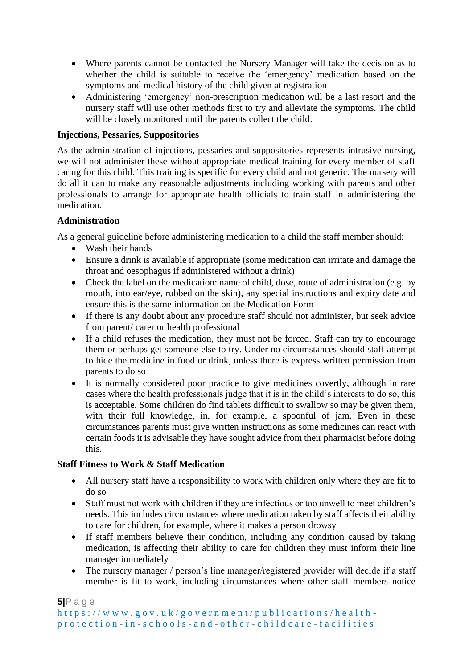- Where parents cannot be contacted the Nursery Manager will take the decision as to whether the child is suitable to receive the 'emergency' medication based on the symptoms and medical history of the child given at registration
- Administering 'emergency' non-prescription medication will be a last resort and the nursery staff will use other methods first to try and alleviate the symptoms. The child will be closely monitored until the parents collect the child.

### **Injections, Pessaries, Suppositories**

As the administration of injections, pessaries and suppositories represents intrusive nursing, we will not administer these without appropriate medical training for every member of staff caring for this child. This training is specific for every child and not generic. The nursery will do all it can to make any reasonable adjustments including working with parents and other professionals to arrange for appropriate health officials to train staff in administering the medication.

### **Administration**

As a general guideline before administering medication to a child the staff member should:

- Wash their hands
- Ensure a drink is available if appropriate (some medication can irritate and damage the throat and oesophagus if administered without a drink)
- Check the label on the medication: name of child, dose, route of administration (e.g. by mouth, into ear/eye, rubbed on the skin), any special instructions and expiry date and ensure this is the same information on the Medication Form
- If there is any doubt about any procedure staff should not administer, but seek advice from parent/ carer or health professional
- If a child refuses the medication, they must not be forced. Staff can try to encourage them or perhaps get someone else to try. Under no circumstances should staff attempt to hide the medicine in food or drink, unless there is express written permission from parents to do so
- It is normally considered poor practice to give medicines covertly, although in rare cases where the health professionals judge that it is in the child's interests to do so, this is acceptable. Some children do find tablets difficult to swallow so may be given them, with their full knowledge, in, for example, a spoonful of jam. Even in these circumstances parents must give written instructions as some medicines can react with certain foods it is advisable they have sought advice from their pharmacist before doing this.

# **Staff Fitness to Work & Staff Medication**

- All nursery staff have a responsibility to work with children only where they are fit to do so
- Staff must not work with children if they are infectious or too unwell to meet children's needs. This includes circumstances where medication taken by staff affects their ability to care for children, for example, where it makes a person drowsy
- If staff members believe their condition, including any condition caused by taking medication, is affecting their ability to care for children they must inform their line manager immediately
- The nursery manager / person's line manager/registered provider will decide if a staff member is fit to work, including circumstances where other staff members notice